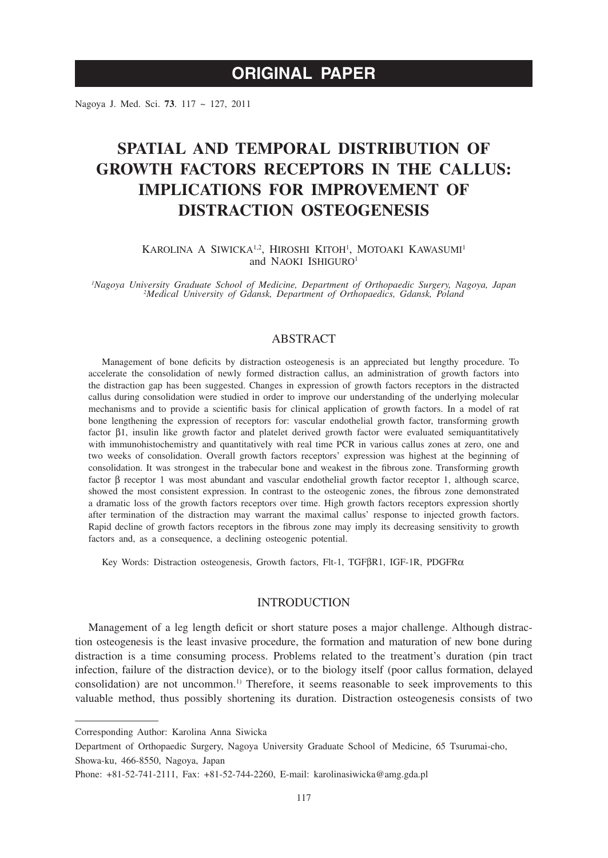# **ORIGINAL PAPER**

Nagoya J. Med. Sci. **73**. 117 ~ 127, 2011

# **Spatial and temporal distribution of growth factors receptors in the calluS: Implications for improvement of distraction osteogenesis**

KAROLINA A SIWICKA<sup>1,2</sup>, HIROSHI KITOH<sup>1</sup>, MOTOAKI KAWASUMI<sup>1</sup> and NAOKI ISHIGURO<sup>1</sup>

*1 Nagoya University Graduate School of Medicine, Department of Orthopaedic Surgery, Nagoya, Japan <sup>2</sup> Medical University of Gdansk, Department of Orthopaedics, Gdansk, Poland*

# ABSTRACT

Management of bone deficits by distraction osteogenesis is an appreciated but lengthy procedure. To accelerate the consolidation of newly formed distraction callus, an administration of growth factors into the distraction gap has been suggested. Changes in expression of growth factors receptors in the distracted callus during consolidation were studied in order to improve our understanding of the underlying molecular mechanisms and to provide a scientific basis for clinical application of growth factors. In a model of rat bone lengthening the expression of receptors for: vascular endothelial growth factor, transforming growth factor b1, insulin like growth factor and platelet derived growth factor were evaluated semiquantitatively with immunohistochemistry and quantitatively with real time PCR in various callus zones at zero, one and two weeks of consolidation. Overall growth factors receptors' expression was highest at the beginning of consolidation. It was strongest in the trabecular bone and weakest in the fibrous zone. Transforming growth factor  $\beta$  receptor 1 was most abundant and vascular endothelial growth factor receptor 1, although scarce, showed the most consistent expression. In contrast to the osteogenic zones, the fibrous zone demonstrated a dramatic loss of the growth factors receptors over time. High growth factors receptors expression shortly after termination of the distraction may warrant the maximal callus' response to injected growth factors. Rapid decline of growth factors receptors in the fibrous zone may imply its decreasing sensitivity to growth factors and, as a consequence, a declining osteogenic potential.

Key Words: Distraction osteogenesis, Growth factors, Flt-1, TGFBR1, IGF-1R, PDGFRa

## **INTRODUCTION**

Management of a leg length deficit or short stature poses a major challenge. Although distraction osteogenesis is the least invasive procedure, the formation and maturation of new bone during distraction is a time consuming process. Problems related to the treatment's duration (pin tract infection, failure of the distraction device), or to the biology itself (poor callus formation, delayed consolidation) are not uncommon.<sup>1)</sup> Therefore, it seems reasonable to seek improvements to this valuable method, thus possibly shortening its duration. Distraction osteogenesis consists of two

Corresponding Author: Karolina Anna Siwicka

Department of Orthopaedic Surgery, Nagoya University Graduate School of Medicine, 65 Tsurumai-cho, Showa-ku, 466-8550, Nagoya, Japan

Phone: +81-52-741-2111, Fax: +81-52-744-2260, E-mail: karolinasiwicka@amg.gda.pl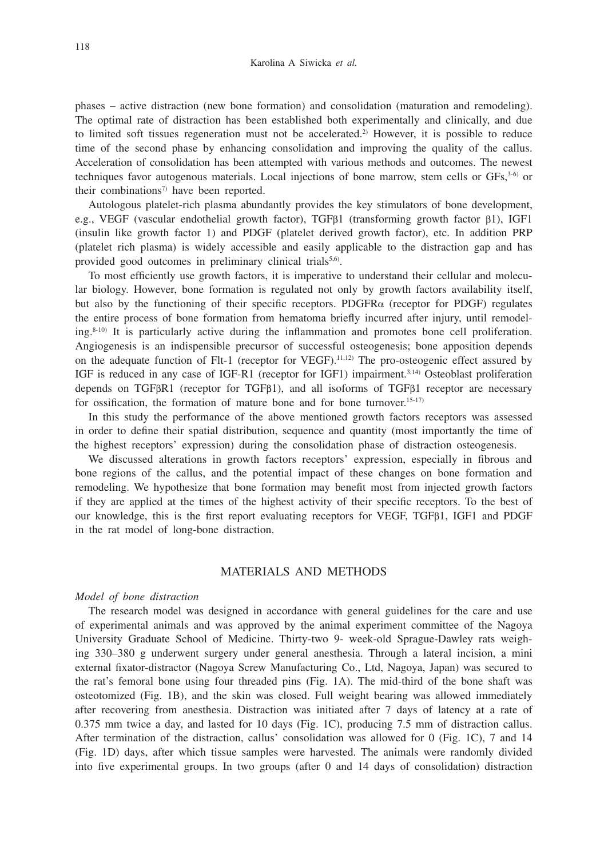phases – active distraction (new bone formation) and consolidation (maturation and remodeling). The optimal rate of distraction has been established both experimentally and clinically, and due to limited soft tissues regeneration must not be accelerated.<sup>2)</sup> However, it is possible to reduce time of the second phase by enhancing consolidation and improving the quality of the callus. Acceleration of consolidation has been attempted with various methods and outcomes. The newest techniques favor autogenous materials. Local injections of bone marrow, stem cells or GFs,3-6) or their combinations<sup>7)</sup> have been reported.

Autologous platelet-rich plasma abundantly provides the key stimulators of bone development, e.g., VEGF (vascular endothelial growth factor), TGF $\beta$ 1 (transforming growth factor  $\beta$ 1), IGF1 (insulin like growth factor 1) and PDGF (platelet derived growth factor), etc. In addition PRP (platelet rich plasma) is widely accessible and easily applicable to the distraction gap and has provided good outcomes in preliminary clinical trials<sup>5,6)</sup>.

To most efficiently use growth factors, it is imperative to understand their cellular and molecular biology. However, bone formation is regulated not only by growth factors availability itself, but also by the functioning of their specific receptors. PDGFR $\alpha$  (receptor for PDGF) regulates the entire process of bone formation from hematoma briefly incurred after injury, until remodeling. $8-10$ ) It is particularly active during the inflammation and promotes bone cell proliferation. Angiogenesis is an indispensible precursor of successful osteogenesis; bone apposition depends on the adequate function of Flt-1 (receptor for VEGF).11,12) The pro-osteogenic effect assured by IGF is reduced in any case of IGF-R1 (receptor for IGF1) impairment.3,14) Osteoblast proliferation depends on TGF<sub>BR1</sub> (receptor for TGFB<sub>1</sub>), and all isoforms of TGFB<sub>1</sub> receptor are necessary for ossification, the formation of mature bone and for bone turnover.<sup>15-17)</sup>

In this study the performance of the above mentioned growth factors receptors was assessed in order to define their spatial distribution, sequence and quantity (most importantly the time of the highest receptors' expression) during the consolidation phase of distraction osteogenesis.

We discussed alterations in growth factors receptors' expression, especially in fibrous and bone regions of the callus, and the potential impact of these changes on bone formation and remodeling. We hypothesize that bone formation may benefit most from injected growth factors if they are applied at the times of the highest activity of their specific receptors. To the best of our knowledge, this is the first report evaluating receptors for VEGF, TGFB1, IGF1 and PDGF in the rat model of long-bone distraction.

## Materials and Methods

#### *Model of bone distraction*

The research model was designed in accordance with general guidelines for the care and use of experimental animals and was approved by the animal experiment committee of the Nagoya University Graduate School of Medicine. Thirty-two 9- week-old Sprague-Dawley rats weighing 330–380 g underwent surgery under general anesthesia. Through a lateral incision, a mini external fixator-distractor (Nagoya Screw Manufacturing Co., Ltd, Nagoya, Japan) was secured to the rat's femoral bone using four threaded pins (Fig. 1A). The mid-third of the bone shaft was osteotomized (Fig. 1B), and the skin was closed. Full weight bearing was allowed immediately after recovering from anesthesia. Distraction was initiated after 7 days of latency at a rate of 0.375 mm twice a day, and lasted for 10 days (Fig. 1C), producing 7.5 mm of distraction callus. After termination of the distraction, callus' consolidation was allowed for 0 (Fig. 1C), 7 and 14 (Fig. 1D) days, after which tissue samples were harvested. The animals were randomly divided into five experimental groups. In two groups (after 0 and 14 days of consolidation) distraction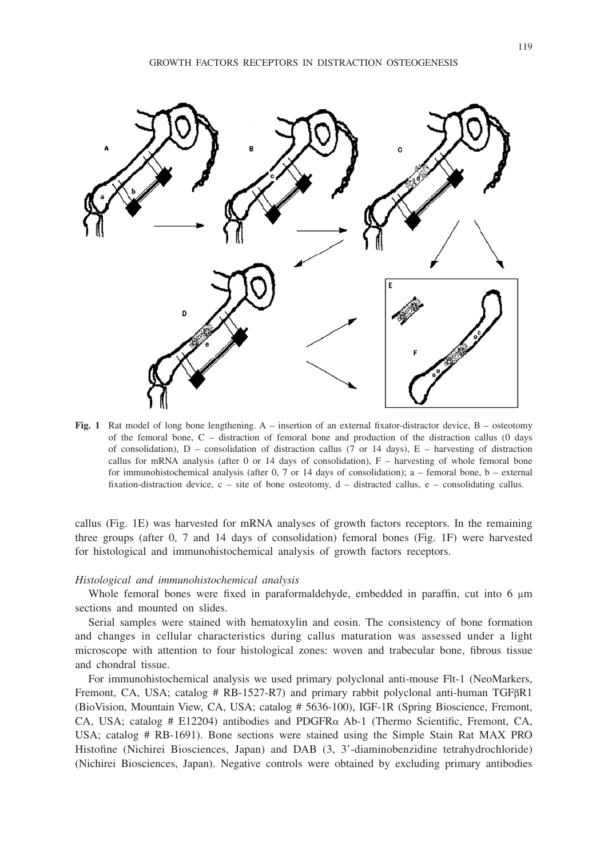

**Fig. 1** Rat model of long bone lengthening. A – insertion of an external fixator-distractor device, B – osteotomy of the femoral bone, C – distraction of femoral bone and production of the distraction callus (0 days of consolidation),  $D$  – consolidation of distraction callus (7 or 14 days),  $E$  – harvesting of distraction callus for mRNA analysis (after 0 or 14 days of consolidation),  $F -$  harvesting of whole femoral bone for immunohistochemical analysis (after 0, 7 or 14 days of consolidation); a – femoral bone, b – external fixation-distraction device, c – site of bone osteotomy, d – distracted callus, e – consolidating callus.

callus (Fig. 1E) was harvested for mRNA analyses of growth factors receptors. In the remaining three groups (after 0, 7 and 14 days of consolidation) femoral bones (Fig. 1F) were harvested for histological and immunohistochemical analysis of growth factors receptors.

#### *Histological and immunohistochemical analysis*

Whole femoral bones were fixed in paraformaldehyde, embedded in paraffin, cut into  $6 \mu m$ sections and mounted on slides.

Serial samples were stained with hematoxylin and eosin. The consistency of bone formation and changes in cellular characteristics during callus maturation was assessed under a light microscope with attention to four histological zones: woven and trabecular bone, fibrous tissue and chondral tissue.

For immunohistochemical analysis we used primary polyclonal anti-mouse Flt-1 (NeoMarkers, Fremont, CA, USA; catalog  $#$  RB-1527-R7) and primary rabbit polyclonal anti-human TGF $\beta$ R1 (BioVision, Mountain View, CA, USA; catalog # 5636-100), IGF-1R (Spring Bioscience, Fremont, CA, USA; catalog # E12204) antibodies and PDGFR $\alpha$  Ab-1 (Thermo Scientific, Fremont, CA, USA; catalog # RB-1691). Bone sections were stained using the Simple Stain Rat MAX PRO Histofine (Nichirei Biosciences, Japan) and DAB (3, 3'-diaminobenzidine tetrahydrochloride) (Nichirei Biosciences, Japan). Negative controls were obtained by excluding primary antibodies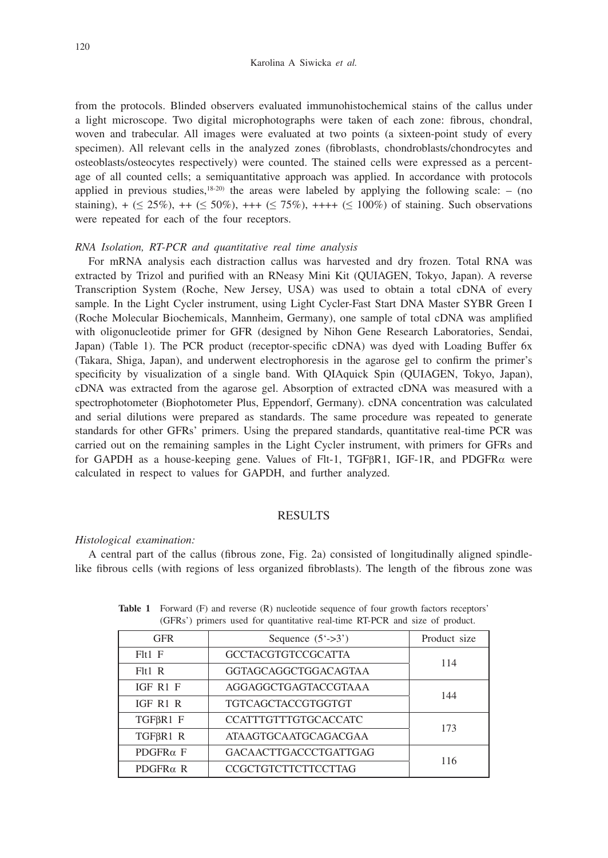from the protocols. Blinded observers evaluated immunohistochemical stains of the callus under a light microscope. Two digital microphotographs were taken of each zone: fibrous, chondral, woven and trabecular. All images were evaluated at two points (a sixteen-point study of every specimen). All relevant cells in the analyzed zones (fibroblasts, chondroblasts/chondrocytes and osteoblasts/osteocytes respectively) were counted. The stained cells were expressed as a percentage of all counted cells; a semiquantitative approach was applied. In accordance with protocols applied in previous studies, $18-20$  the areas were labeled by applying the following scale: – (no staining),  $+$  ( $\leq$  25%), ++ ( $\leq$  50%), +++ ( $\leq$  75%), ++++ ( $\leq$  100%) of staining. Such observations were repeated for each of the four receptors.

## *RNA Isolation, RT-PCR and quantitative real time analysis*

For mRNA analysis each distraction callus was harvested and dry frozen. Total RNA was extracted by Trizol and purified with an RNeasy Mini Kit (QUIAGEN, Tokyo, Japan). A reverse Transcription System (Roche, New Jersey, USA) was used to obtain a total cDNA of every sample. In the Light Cycler instrument, using Light Cycler-Fast Start DNA Master SYBR Green I (Roche Molecular Biochemicals, Mannheim, Germany), one sample of total cDNA was amplified with oligonucleotide primer for GFR (designed by Nihon Gene Research Laboratories, Sendai, Japan) (Table 1). The PCR product (receptor-specific cDNA) was dyed with Loading Buffer 6x (Takara, Shiga, Japan), and underwent electrophoresis in the agarose gel to confirm the primer's specificity by visualization of a single band. With QIAquick Spin (QUIAGEN, Tokyo, Japan), cDNA was extracted from the agarose gel. Absorption of extracted cDNA was measured with a spectrophotometer (Biophotometer Plus, Eppendorf, Germany). cDNA concentration was calculated and serial dilutions were prepared as standards. The same procedure was repeated to generate standards for other GFRs' primers. Using the prepared standards, quantitative real-time PCR was carried out on the remaining samples in the Light Cycler instrument, with primers for GFRs and for GAPDH as a house-keeping gene. Values of Flt-1, TGFBR1, IGF-1R, and PDGFR $\alpha$  were calculated in respect to values for GAPDH, and further analyzed.

## RESULTS

### *Histological examination:*

A central part of the callus (fibrous zone, Fig. 2a) consisted of longitudinally aligned spindlelike fibrous cells (with regions of less organized fibroblasts). The length of the fibrous zone was

| <b>GFR</b>      | Sequence $(5'-3)$            | Product size |  |  |  |
|-----------------|------------------------------|--------------|--|--|--|
| $F1t1$ $F$      | <b>GCCTACGTGTCCGCATTA</b>    | 114          |  |  |  |
| F1t1 R          | <b>GGTAGCAGGCTGGACAGTAA</b>  |              |  |  |  |
| IGF R1 F        | AGGAGGCTGAGTACCGTAAA         | 144          |  |  |  |
| IGF R1 R        | <b>TGTCAGCTACCGTGGTGT</b>    |              |  |  |  |
| TGFBR1 F        | CCATTTGTTTGTGCACCATC         | 173          |  |  |  |
| TGFBR1 R        | <b>ATAAGTGCAATGCAGACGAA</b>  |              |  |  |  |
| $PDGFR\alpha F$ | <b>GACAACTTGACCCTGATTGAG</b> | 116          |  |  |  |
| $PDGFR\alpha$ R | <b>CCGCTGTCTTCTTCCTTAG</b>   |              |  |  |  |

**Table 1** Forward (F) and reverse (R) nucleotide sequence of four growth factors receptors' (GFRs') primers used for quantitative real-time RT-PCR and size of product.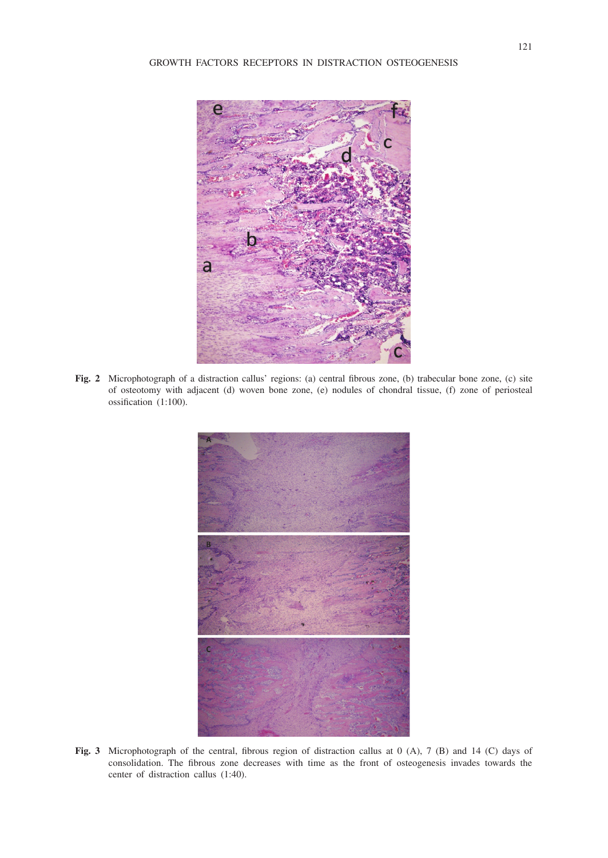

**Fig. 2** Microphotograph of a distraction callus' regions: (a) central fibrous zone, (b) trabecular bone zone, (c) site of osteotomy with adjacent (d) woven bone zone, (e) nodules of chondral tissue, (f) zone of periosteal ossification (1:100).



**Fig. 3** Microphotograph of the central, fibrous region of distraction callus at 0 (A), 7 (B) and 14 (C) days of consolidation. The fibrous zone decreases with time as the front of osteogenesis invades towards the center of distraction callus (1:40).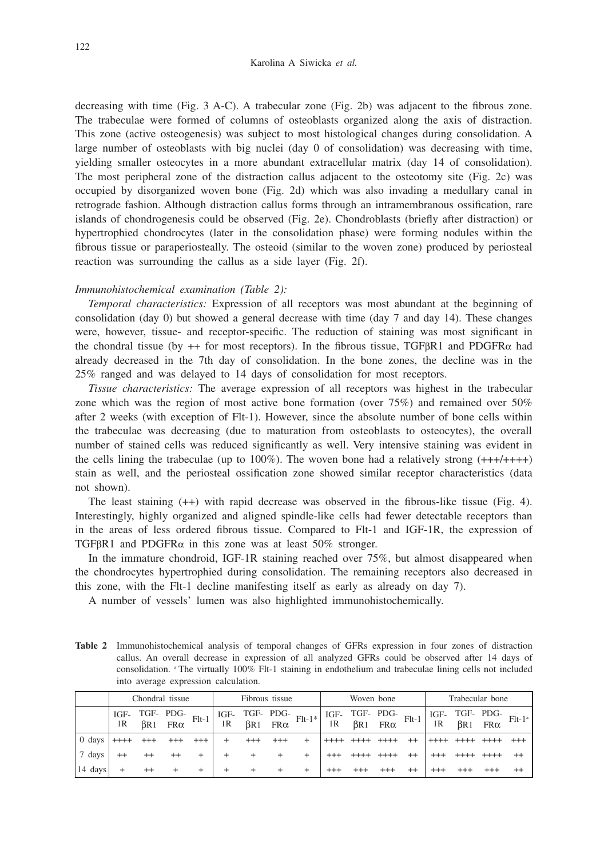decreasing with time (Fig. 3 A-C). A trabecular zone (Fig. 2b) was adjacent to the fibrous zone. The trabeculae were formed of columns of osteoblasts organized along the axis of distraction. This zone (active osteogenesis) was subject to most histological changes during consolidation. A large number of osteoblasts with big nuclei (day 0 of consolidation) was decreasing with time, yielding smaller osteocytes in a more abundant extracellular matrix (day 14 of consolidation). The most peripheral zone of the distraction callus adjacent to the osteotomy site (Fig. 2c) was occupied by disorganized woven bone (Fig. 2d) which was also invading a medullary canal in retrograde fashion. Although distraction callus forms through an intramembranous ossification, rare islands of chondrogenesis could be observed (Fig. 2e). Chondroblasts (briefly after distraction) or hypertrophied chondrocytes (later in the consolidation phase) were forming nodules within the fibrous tissue or paraperiosteally. The osteoid (similar to the woven zone) produced by periosteal reaction was surrounding the callus as a side layer (Fig. 2f).

#### *Immunohistochemical examination (Table 2):*

*Temporal characteristics:* Expression of all receptors was most abundant at the beginning of consolidation (day 0) but showed a general decrease with time (day 7 and day 14). These changes were, however, tissue- and receptor-specific. The reduction of staining was most significant in the chondral tissue (by  $++$  for most receptors). In the fibrous tissue, TGF $\beta$ R1 and PDGFR $\alpha$  had already decreased in the 7th day of consolidation. In the bone zones, the decline was in the 25% ranged and was delayed to 14 days of consolidation for most receptors.

*Tissue characteristics:* The average expression of all receptors was highest in the trabecular zone which was the region of most active bone formation (over 75%) and remained over 50% after 2 weeks (with exception of Flt-1). However, since the absolute number of bone cells within the trabeculae was decreasing (due to maturation from osteoblasts to osteocytes), the overall number of stained cells was reduced significantly as well. Very intensive staining was evident in the cells lining the trabeculae (up to  $100\%$ ). The woven bone had a relatively strong  $(++++++)$ stain as well, and the periosteal ossification zone showed similar receptor characteristics (data not shown).

The least staining (++) with rapid decrease was observed in the fibrous-like tissue (Fig. 4). Interestingly, highly organized and aligned spindle-like cells had fewer detectable receptors than in the areas of less ordered fibrous tissue. Compared to Flt-1 and IGF-1R, the expression of TGF $\beta$ R1 and PDGFR $\alpha$  in this zone was at least 50% stronger.

In the immature chondroid, IGF-1R staining reached over 75%, but almost disappeared when the chondrocytes hypertrophied during consolidation. The remaining receptors also decreased in this zone, with the Flt-1 decline manifesting itself as early as already on day 7).

A number of vessels' lumen was also highlighted immunohistochemically.

**Table 2** Immunohistochemical analysis of temporal changes of GFRs expression in four zones of distraction callus. An overall decrease in expression of all analyzed GFRs could be observed after 14 days of consolidation. a The virtually 100% Flt-1 staining in endothelium and trabeculae lining cells not included into average expression calculation.

|         | Chondral tissue |  |                                                   | Fibrous tissue |        |        | Woven bone |                                                                                                   |  |                     | Trabecular bone |  |  |                |  |  |
|---------|-----------------|--|---------------------------------------------------|----------------|--------|--------|------------|---------------------------------------------------------------------------------------------------|--|---------------------|-----------------|--|--|----------------|--|--|
|         |                 |  | IGF- TGF- PDG-<br>1R $\beta$ R1 FR $\alpha$ Flt-1 |                |        |        |            | IGF- TGF- PDG- FIt-1* IGF- TGF- PDG- FIt-1 IGF- TGF- PDG- FIt-1* IR $\beta$ R1 FR $\alpha$ FIt-1* |  |                     |                 |  |  |                |  |  |
| 0 days  | $++++$          |  |                                                   | $+++$          | $+$    | $+++$  | $^{+++}$   |                                                                                                   |  | $+ + + +$ ++++ ++++ |                 |  |  | ++++ ++++ ++++ |  |  |
| 7 days  |                 |  | $^{++}$                                           |                | $^{+}$ | $^{+}$ |            |                                                                                                   |  |                     | $++++++++$      |  |  |                |  |  |
| 14 days |                 |  |                                                   | $+$            | $^+$   | $^{+}$ | $^+$       |                                                                                                   |  |                     |                 |  |  |                |  |  |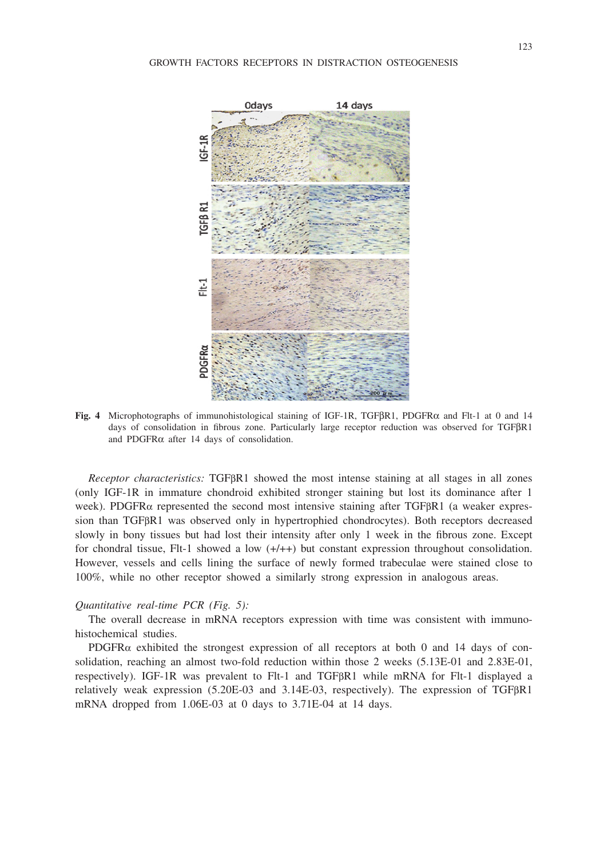

**Fig. 4** Microphotographs of immunohistological staining of IGF-1R, TGFbR1, PDGFRa and Flt-1 at 0 and 14 days of consolidation in fibrous zone. Particularly large receptor reduction was observed for TGF $\beta$ R1 and PDGFR $\alpha$  after 14 days of consolidation.

*Receptor characteristics:* TGF<sub>BR1</sub> showed the most intense staining at all stages in all zones (only IGF-1R in immature chondroid exhibited stronger staining but lost its dominance after 1 week). PDGFR $\alpha$  represented the second most intensive staining after TGFBR1 (a weaker expression than TGFBR1 was observed only in hypertrophied chondrocytes). Both receptors decreased slowly in bony tissues but had lost their intensity after only 1 week in the fibrous zone. Except for chondral tissue,  $F1t-1$  showed a low  $(+/+)$  but constant expression throughout consolidation. However, vessels and cells lining the surface of newly formed trabeculae were stained close to 100%, while no other receptor showed a similarly strong expression in analogous areas.

#### *Quantitative real-time PCR (Fig. 5):*

The overall decrease in mRNA receptors expression with time was consistent with immunohistochemical studies.

PDGFR $\alpha$  exhibited the strongest expression of all receptors at both 0 and 14 days of consolidation, reaching an almost two-fold reduction within those 2 weeks (5.13E-01 and 2.83E-01, respectively). IGF-1R was prevalent to Flt-1 and TGFBR1 while mRNA for Flt-1 displayed a relatively weak expression  $(5.20E-03$  and  $3.14E-03$ , respectively). The expression of TGF $\beta$ R1 mRNA dropped from 1.06E-03 at 0 days to 3.71E-04 at 14 days.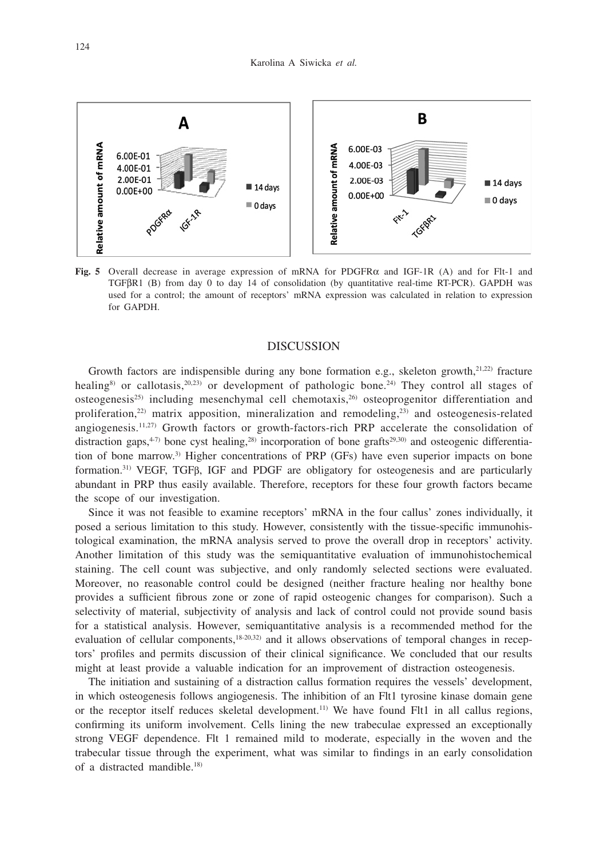

**Fig. 5** Overall decrease in average expression of mRNA for PDGFR $\alpha$  and IGF-1R (A) and for Flt-1 and TGFBR1 (B) from day 0 to day 14 of consolidation (by quantitative real-time RT-PCR). GAPDH was used for a control; the amount of receptors' mRNA expression was calculated in relation to expression for GAPDH.

## **DISCUSSION**

Growth factors are indispensible during any bone formation e.g., skeleton growth, $2^{1,22}$  fracture healing<sup>8)</sup> or callotasis,<sup>20,23)</sup> or development of pathologic bone.<sup>24)</sup> They control all stages of osteogenesis<sup>25)</sup> including mesenchymal cell chemotaxis,<sup>26)</sup> osteoprogenitor differentiation and proliferation,<sup>22)</sup> matrix apposition, mineralization and remodeling,<sup>23)</sup> and osteogenesis-related angiogenesis.<sup>11,27)</sup> Growth factors or growth-factors-rich PRP accelerate the consolidation of distraction gaps,<sup>4-7)</sup> bone cyst healing,<sup>28)</sup> incorporation of bone grafts<sup>29,30</sup>) and osteogenic differentiation of bone marrow.3) Higher concentrations of PRP (GFs) have even superior impacts on bone formation.<sup>31)</sup> VEGF, TGF<sub>B</sub>, IGF and PDGF are obligatory for osteogenesis and are particularly abundant in PRP thus easily available. Therefore, receptors for these four growth factors became the scope of our investigation.

Since it was not feasible to examine receptors' mRNA in the four callus' zones individually, it posed a serious limitation to this study. However, consistently with the tissue-specific immunohistological examination, the mRNA analysis served to prove the overall drop in receptors' activity. Another limitation of this study was the semiquantitative evaluation of immunohistochemical staining. The cell count was subjective, and only randomly selected sections were evaluated. Moreover, no reasonable control could be designed (neither fracture healing nor healthy bone provides a sufficient fibrous zone or zone of rapid osteogenic changes for comparison). Such a selectivity of material, subjectivity of analysis and lack of control could not provide sound basis for a statistical analysis. However, semiquantitative analysis is a recommended method for the evaluation of cellular components,<sup>18-20,32)</sup> and it allows observations of temporal changes in receptors' profiles and permits discussion of their clinical significance. We concluded that our results might at least provide a valuable indication for an improvement of distraction osteogenesis.

The initiation and sustaining of a distraction callus formation requires the vessels' development, in which osteogenesis follows angiogenesis. The inhibition of an Flt1 tyrosine kinase domain gene or the receptor itself reduces skeletal development.11) We have found Flt1 in all callus regions, confirming its uniform involvement. Cells lining the new trabeculae expressed an exceptionally strong VEGF dependence. Flt 1 remained mild to moderate, especially in the woven and the trabecular tissue through the experiment, what was similar to findings in an early consolidation of a distracted mandible.18)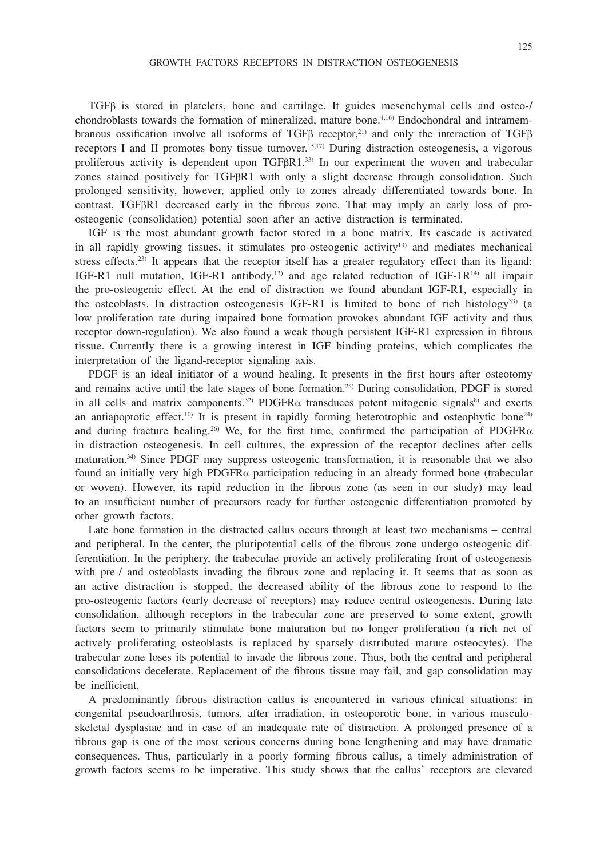TGFb is stored in platelets, bone and cartilage. It guides mesenchymal cells and osteo-/ chondroblasts towards the formation of mineralized, mature bone.4,16) Endochondral and intramembranous ossification involve all isoforms of TGFB receptor,<sup>21)</sup> and only the interaction of TGFB receptors I and II promotes bony tissue turnover.<sup>15,17)</sup> During distraction osteogenesis, a vigorous proliferous activity is dependent upon TGFBR1.33) In our experiment the woven and trabecular zones stained positively for TGFBR1 with only a slight decrease through consolidation. Such prolonged sensitivity, however, applied only to zones already differentiated towards bone. In contrast, TGF<sub>BR1</sub> decreased early in the fibrous zone. That may imply an early loss of proosteogenic (consolidation) potential soon after an active distraction is terminated.

IGF is the most abundant growth factor stored in a bone matrix. Its cascade is activated in all rapidly growing tissues, it stimulates pro-osteogenic activity<sup>19)</sup> and mediates mechanical stress effects.<sup>23)</sup> It appears that the receptor itself has a greater regulatory effect than its ligand: IGF-R1 null mutation, IGF-R1 antibody,<sup>13)</sup> and age related reduction of IGF-1R<sup>14)</sup> all impair the pro-osteogenic effect. At the end of distraction we found abundant IGF-R1, especially in the osteoblasts. In distraction osteogenesis IGF-R1 is limited to bone of rich histology<sup>33</sup> (a low proliferation rate during impaired bone formation provokes abundant IGF activity and thus receptor down-regulation). We also found a weak though persistent IGF-R1 expression in fibrous tissue. Currently there is a growing interest in IGF binding proteins, which complicates the interpretation of the ligand-receptor signaling axis.

PDGF is an ideal initiator of a wound healing. It presents in the first hours after osteotomy and remains active until the late stages of bone formation.25) During consolidation, PDGF is stored in all cells and matrix components.<sup>32)</sup> PDGFR $\alpha$  transduces potent mitogenic signals<sup>8)</sup> and exerts an antiapoptotic effect.<sup>10)</sup> It is present in rapidly forming heterotrophic and osteophytic bone<sup>24)</sup> and during fracture healing.<sup>26)</sup> We, for the first time, confirmed the participation of PDGFR $\alpha$ in distraction osteogenesis. In cell cultures, the expression of the receptor declines after cells maturation.34) Since PDGF may suppress osteogenic transformation, it is reasonable that we also found an initially very high PDGFR $\alpha$  participation reducing in an already formed bone (trabecular or woven). However, its rapid reduction in the fibrous zone (as seen in our study) may lead to an insufficient number of precursors ready for further osteogenic differentiation promoted by other growth factors.

Late bone formation in the distracted callus occurs through at least two mechanisms – central and peripheral. In the center, the pluripotential cells of the fibrous zone undergo osteogenic differentiation. In the periphery, the trabeculae provide an actively proliferating front of osteogenesis with pre-/ and osteoblasts invading the fibrous zone and replacing it. It seems that as soon as an active distraction is stopped, the decreased ability of the fibrous zone to respond to the pro-osteogenic factors (early decrease of receptors) may reduce central osteogenesis. During late consolidation, although receptors in the trabecular zone are preserved to some extent, growth factors seem to primarily stimulate bone maturation but no longer proliferation (a rich net of actively proliferating osteoblasts is replaced by sparsely distributed mature osteocytes). The trabecular zone loses its potential to invade the fibrous zone. Thus, both the central and peripheral consolidations decelerate. Replacement of the fibrous tissue may fail, and gap consolidation may be inefficient.

A predominantly fibrous distraction callus is encountered in various clinical situations: in congenital pseudoarthrosis, tumors, after irradiation, in osteoporotic bone, in various musculoskeletal dysplasiae and in case of an inadequate rate of distraction. A prolonged presence of a fibrous gap is one of the most serious concerns during bone lengthening and may have dramatic consequences. Thus, particularly in a poorly forming fibrous callus, a timely administration of growth factors seems to be imperative. This study shows that the callus' receptors are elevated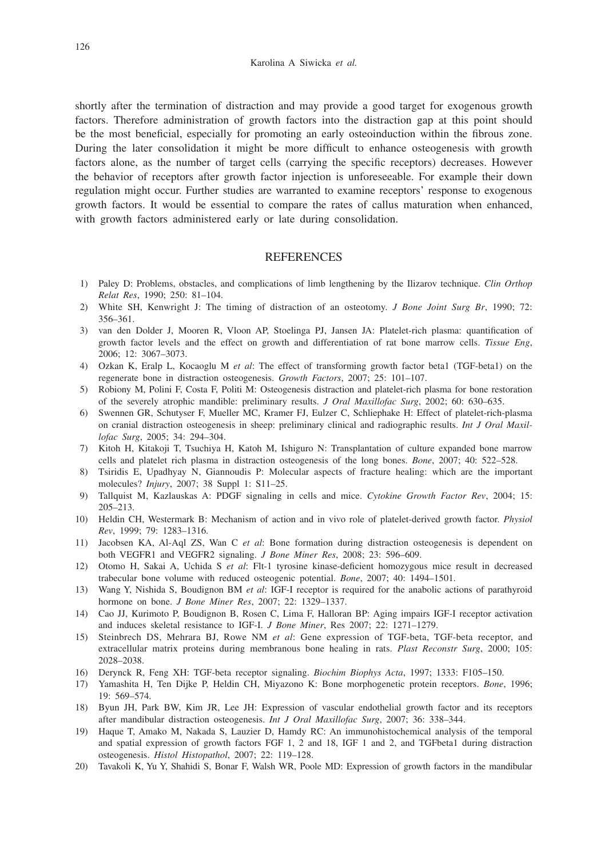shortly after the termination of distraction and may provide a good target for exogenous growth factors. Therefore administration of growth factors into the distraction gap at this point should be the most beneficial, especially for promoting an early osteoinduction within the fibrous zone. During the later consolidation it might be more difficult to enhance osteogenesis with growth factors alone, as the number of target cells (carrying the specific receptors) decreases. However the behavior of receptors after growth factor injection is unforeseeable. For example their down regulation might occur. Further studies are warranted to examine receptors' response to exogenous growth factors. It would be essential to compare the rates of callus maturation when enhanced, with growth factors administered early or late during consolidation.

## **REFERENCES**

- 1) Paley D: Problems, obstacles, and complications of limb lengthening by the Ilizarov technique. *Clin Orthop Relat Res*, 1990; 250: 81–104.
- 2) White SH, Kenwright J: The timing of distraction of an osteotomy. *J Bone Joint Surg Br*, 1990; 72: 356–361.
- 3) van den Dolder J, Mooren R, Vloon AP, Stoelinga PJ, Jansen JA: Platelet-rich plasma: quantification of growth factor levels and the effect on growth and differentiation of rat bone marrow cells. *Tissue Eng*, 2006; 12: 3067–3073.
- 4) Ozkan K, Eralp L, Kocaoglu M *et al*: The effect of transforming growth factor beta1 (TGF-beta1) on the regenerate bone in distraction osteogenesis. *Growth Factors*, 2007; 25: 101–107.
- 5) Robiony M, Polini F, Costa F, Politi M: Osteogenesis distraction and platelet-rich plasma for bone restoration of the severely atrophic mandible: preliminary results. *J Oral Maxillofac Surg*, 2002; 60: 630–635.
- 6) Swennen GR, Schutyser F, Mueller MC, Kramer FJ, Eulzer C, Schliephake H: Effect of platelet-rich-plasma on cranial distraction osteogenesis in sheep: preliminary clinical and radiographic results. *Int J Oral Maxillofac Surg*, 2005; 34: 294–304.
- 7) Kitoh H, Kitakoji T, Tsuchiya H, Katoh M, Ishiguro N: Transplantation of culture expanded bone marrow cells and platelet rich plasma in distraction osteogenesis of the long bones. *Bone*, 2007; 40: 522–528.
- 8) Tsiridis E, Upadhyay N, Giannoudis P: Molecular aspects of fracture healing: which are the important molecules? *Injury*, 2007; 38 Suppl 1: S11–25.
- 9) Tallquist M, Kazlauskas A: PDGF signaling in cells and mice. *Cytokine Growth Factor Rev*, 2004; 15: 205–213.
- 10) Heldin CH, Westermark B: Mechanism of action and in vivo role of platelet-derived growth factor. *Physiol Rev*, 1999; 79: 1283–1316.
- 11) Jacobsen KA, Al-Aql ZS, Wan C *et al*: Bone formation during distraction osteogenesis is dependent on both VEGFR1 and VEGFR2 signaling. *J Bone Miner Res*, 2008; 23: 596–609.
- 12) Otomo H, Sakai A, Uchida S *et al*: Flt-1 tyrosine kinase-deficient homozygous mice result in decreased trabecular bone volume with reduced osteogenic potential. *Bone*, 2007; 40: 1494–1501.
- 13) Wang Y, Nishida S, Boudignon BM *et al*: IGF-I receptor is required for the anabolic actions of parathyroid hormone on bone. *J Bone Miner Res*, 2007; 22: 1329–1337.
- 14) Cao JJ, Kurimoto P, Boudignon B, Rosen C, Lima F, Halloran BP: Aging impairs IGF-I receptor activation and induces skeletal resistance to IGF-I. *J Bone Miner*, Res 2007; 22: 1271–1279.
- 15) Steinbrech DS, Mehrara BJ, Rowe NM *et al*: Gene expression of TGF-beta, TGF-beta receptor, and extracellular matrix proteins during membranous bone healing in rats. *Plast Reconstr Surg*, 2000; 105: 2028–2038.
- 16) Derynck R, Feng XH: TGF-beta receptor signaling. *Biochim Biophys Acta*, 1997; 1333: F105–150.
- 17) Yamashita H, Ten Dijke P, Heldin CH, Miyazono K: Bone morphogenetic protein receptors. *Bone*, 1996; 19: 569–574.
- 18) Byun JH, Park BW, Kim JR, Lee JH: Expression of vascular endothelial growth factor and its receptors after mandibular distraction osteogenesis. *Int J Oral Maxillofac Surg*, 2007; 36: 338–344.
- 19) Haque T, Amako M, Nakada S, Lauzier D, Hamdy RC: An immunohistochemical analysis of the temporal and spatial expression of growth factors FGF 1, 2 and 18, IGF 1 and 2, and TGFbeta1 during distraction osteogenesis. *Histol Histopathol*, 2007; 22: 119–128.
- 20) Tavakoli K, Yu Y, Shahidi S, Bonar F, Walsh WR, Poole MD: Expression of growth factors in the mandibular